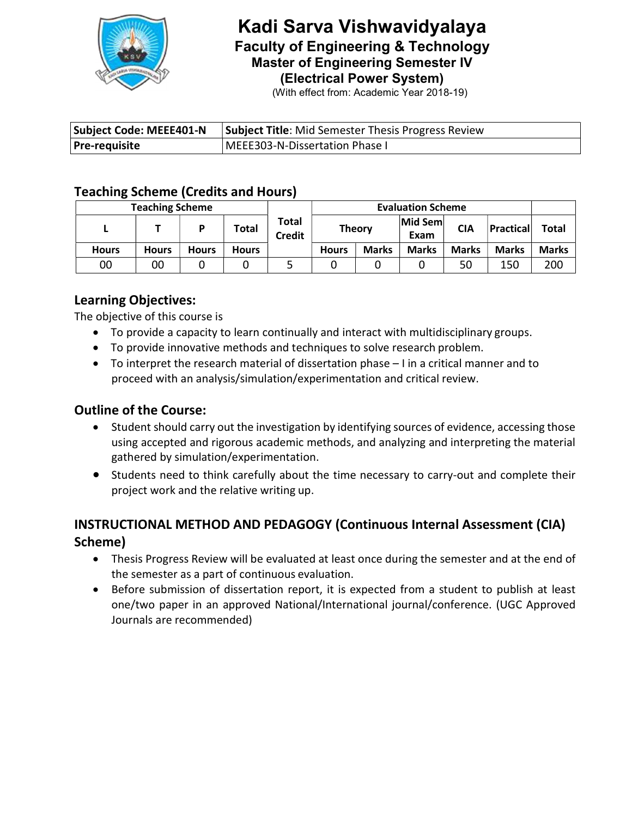

# Kadi Sarva Vishwavidyalaya Faculty of Engineering & Technology Master of Engineering Semester IV (Electrical Power System)

(With effect from: Academic Year 2018-19)

| Subject Code: MEEE401-N | <b>Subject Title:</b> Mid Semester Thesis Progress Review |  |  |  |  |
|-------------------------|-----------------------------------------------------------|--|--|--|--|
| <b>Pre-requisite</b>    | MEEE303-N-Dissertation Phase I                            |  |  |  |  |

# Teaching Scheme (Credits and Hours)

| <b>Teaching Scheme</b> |       |       |              |                        | <b>Evaluation Scheme</b> |              |                 |              |              |              |
|------------------------|-------|-------|--------------|------------------------|--------------------------|--------------|-----------------|--------------|--------------|--------------|
|                        |       |       | <b>Total</b> | Total<br><b>Credit</b> | <b>Theory</b>            |              | Mid Sem<br>Exam | <b>CIA</b>   | Practical    | Total        |
| <b>Hours</b>           | Hours | Hours | <b>Hours</b> |                        | <b>Hours</b>             | <b>Marks</b> | <b>Marks</b>    | <b>Marks</b> | <b>Marks</b> | <b>Marks</b> |
| 00                     | 00    |       |              |                        |                          |              |                 | 50           | 150          | 200          |

### Learning Objectives:

The objective of this course is

- To provide a capacity to learn continually and interact with multidisciplinary groups.
- To provide innovative methods and techniques to solve research problem.
- To interpret the research material of dissertation phase I in a critical manner and to proceed with an analysis/simulation/experimentation and critical review.

#### Outline of the Course:

- Student should carry out the investigation by identifying sources of evidence, accessing those using accepted and rigorous academic methods, and analyzing and interpreting the material gathered by simulation/experimentation.
- Students need to think carefully about the time necessary to carry-out and complete their project work and the relative writing up.

# INSTRUCTIONAL METHOD AND PEDAGOGY (Continuous Internal Assessment (CIA) Scheme)

- Thesis Progress Review will be evaluated at least once during the semester and at the end of the semester as a part of continuous evaluation.
- Before submission of dissertation report, it is expected from a student to publish at least one/two paper in an approved National/International journal/conference. (UGC Approved Journals are recommended)